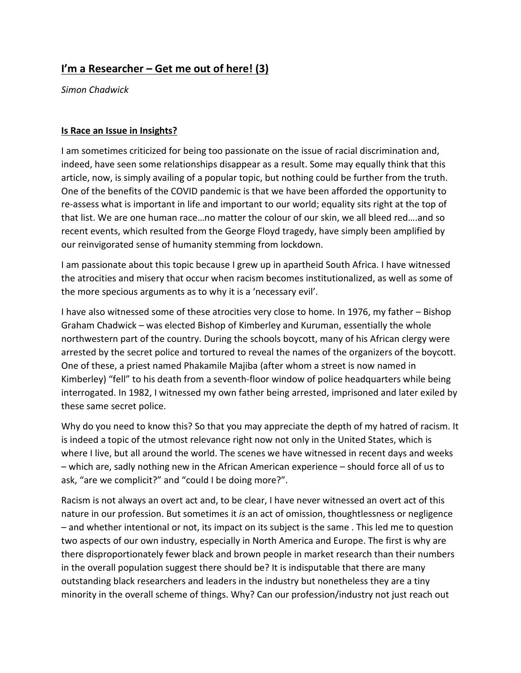## **I'm a Researcher – Get me out of here! (3)**

*Simon Chadwick*

## **Is Race an Issue in Insights?**

I am sometimes criticized for being too passionate on the issue of racial discrimination and, indeed, have seen some relationships disappear as a result. Some may equally think that this article, now, is simply availing of a popular topic, but nothing could be further from the truth. One of the benefits of the COVID pandemic is that we have been afforded the opportunity to re-assess what is important in life and important to our world; equality sits right at the top of that list. We are one human race…no matter the colour of our skin, we all bleed red….and so recent events, which resulted from the George Floyd tragedy, have simply been amplified by our reinvigorated sense of humanity stemming from lockdown.

I am passionate about this topic because I grew up in apartheid South Africa. I have witnessed the atrocities and misery that occur when racism becomes institutionalized, as well as some of the more specious arguments as to why it is a 'necessary evil'.

I have also witnessed some of these atrocities very close to home. In 1976, my father – Bishop Graham Chadwick – was elected Bishop of Kimberley and Kuruman, essentially the whole northwestern part of the country. During the schools boycott, many of his African clergy were arrested by the secret police and tortured to reveal the names of the organizers of the boycott. One of these, a priest named Phakamile Majiba (after whom a street is now named in Kimberley) "fell" to his death from a seventh-floor window of police headquarters while being interrogated. In 1982, I witnessed my own father being arrested, imprisoned and later exiled by these same secret police.

Why do you need to know this? So that you may appreciate the depth of my hatred of racism. It is indeed a topic of the utmost relevance right now not only in the United States, which is where I live, but all around the world. The scenes we have witnessed in recent days and weeks – which are, sadly nothing new in the African American experience – should force all of us to ask, "are we complicit?" and "could I be doing more?".

Racism is not always an overt act and, to be clear, I have never witnessed an overt act of this nature in our profession. But sometimes it *is* an act of omission, thoughtlessness or negligence – and whether intentional or not, its impact on its subject is the same . This led me to question two aspects of our own industry, especially in North America and Europe. The first is why are there disproportionately fewer black and brown people in market research than their numbers in the overall population suggest there should be? It is indisputable that there are many outstanding black researchers and leaders in the industry but nonetheless they are a tiny minority in the overall scheme of things. Why? Can our profession/industry not just reach out